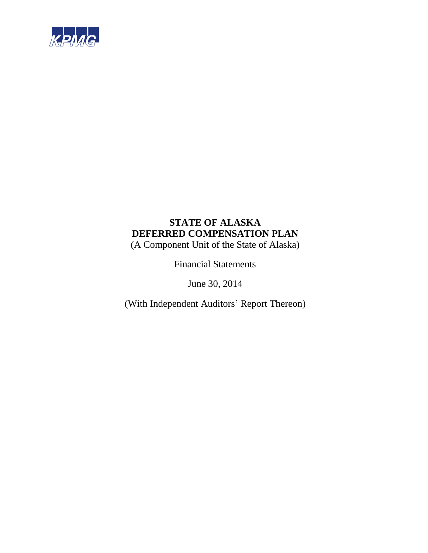

# **STATE OF ALASKA DEFERRED COMPENSATION PLAN**

(A Component Unit of the State of Alaska)

Financial Statements

June 30, 2014

(With Independent Auditors' Report Thereon)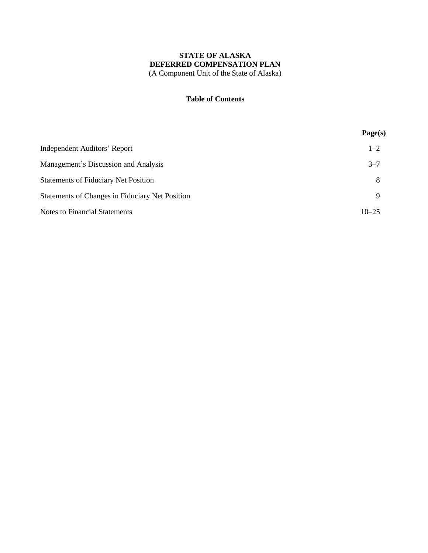#### **Table of Contents**

|                                                 | Page(s)   |
|-------------------------------------------------|-----------|
| <b>Independent Auditors' Report</b>             | $1 - 2$   |
| Management's Discussion and Analysis            | $3 - 7$   |
| <b>Statements of Fiduciary Net Position</b>     |           |
| Statements of Changes in Fiduciary Net Position | Q         |
| <b>Notes to Financial Statements</b>            | $10 - 25$ |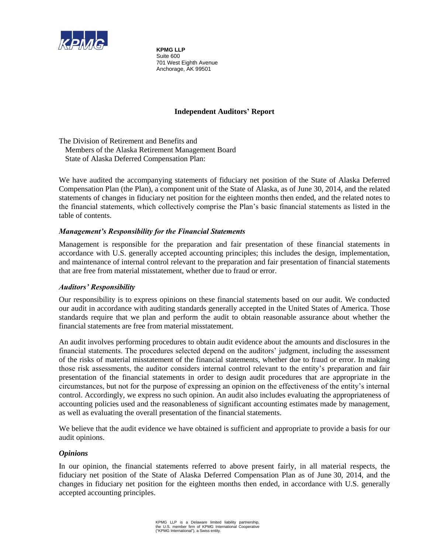

**KPMG LLP**  Suite 600 701 West Eighth Avenue Anchorage, AK 99501

## **Independent Auditors' Report**

The Division of Retirement and Benefits and Members of the Alaska Retirement Management Board State of Alaska Deferred Compensation Plan:

We have audited the accompanying statements of fiduciary net position of the State of Alaska Deferred Compensation Plan (the Plan), a component unit of the State of Alaska, as of June 30, 2014, and the related statements of changes in fiduciary net position for the eighteen months then ended, and the related notes to the financial statements, which collectively comprise the Plan's basic financial statements as listed in the table of contents.

### *Management's Responsibility for the Financial Statements*

Management is responsible for the preparation and fair presentation of these financial statements in accordance with U.S. generally accepted accounting principles; this includes the design, implementation, and maintenance of internal control relevant to the preparation and fair presentation of financial statements that are free from material misstatement, whether due to fraud or error.

#### *Auditors' Responsibility*

Our responsibility is to express opinions on these financial statements based on our audit. We conducted our audit in accordance with auditing standards generally accepted in the United States of America. Those standards require that we plan and perform the audit to obtain reasonable assurance about whether the financial statements are free from material misstatement.

An audit involves performing procedures to obtain audit evidence about the amounts and disclosures in the financial statements. The procedures selected depend on the auditors' judgment, including the assessment of the risks of material misstatement of the financial statements, whether due to fraud or error. In making those risk assessments, the auditor considers internal control relevant to the entity's preparation and fair presentation of the financial statements in order to design audit procedures that are appropriate in the circumstances, but not for the purpose of expressing an opinion on the effectiveness of the entity's internal control. Accordingly, we express no such opinion. An audit also includes evaluating the appropriateness of accounting policies used and the reasonableness of significant accounting estimates made by management, as well as evaluating the overall presentation of the financial statements.

We believe that the audit evidence we have obtained is sufficient and appropriate to provide a basis for our audit opinions.

#### *Opinions*

In our opinion, the financial statements referred to above present fairly, in all material respects, the fiduciary net position of the State of Alaska Deferred Compensation Plan as of June 30, 2014, and the changes in fiduciary net position for the eighteen months then ended, in accordance with U.S. generally accepted accounting principles.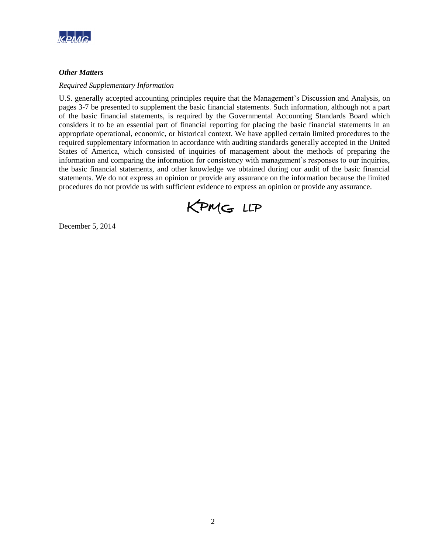

#### *Other Matters*

#### *Required Supplementary Information*

U.S. generally accepted accounting principles require that the Management's Discussion and Analysis, on pages 3-7 be presented to supplement the basic financial statements. Such information, although not a part of the basic financial statements, is required by the Governmental Accounting Standards Board which considers it to be an essential part of financial reporting for placing the basic financial statements in an appropriate operational, economic, or historical context. We have applied certain limited procedures to the required supplementary information in accordance with auditing standards generally accepted in the United States of America, which consisted of inquiries of management about the methods of preparing the information and comparing the information for consistency with management's responses to our inquiries, the basic financial statements, and other knowledge we obtained during our audit of the basic financial statements. We do not express an opinion or provide any assurance on the information because the limited procedures do not provide us with sufficient evidence to express an opinion or provide any assurance.



December 5, 2014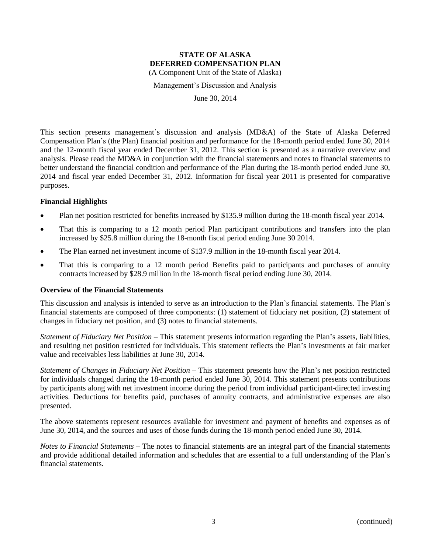Management's Discussion and Analysis

June 30, 2014

This section presents management's discussion and analysis (MD&A) of the State of Alaska Deferred Compensation Plan's (the Plan) financial position and performance for the 18-month period ended June 30, 2014 and the 12-month fiscal year ended December 31, 2012. This section is presented as a narrative overview and analysis. Please read the MD&A in conjunction with the financial statements and notes to financial statements to better understand the financial condition and performance of the Plan during the 18-month period ended June 30, 2014 and fiscal year ended December 31, 2012. Information for fiscal year 2011 is presented for comparative purposes.

#### **Financial Highlights**

- Plan net position restricted for benefits increased by \$135.9 million during the 18-month fiscal year 2014.
- That this is comparing to a 12 month period Plan participant contributions and transfers into the plan increased by \$25.8 million during the 18-month fiscal period ending June 30 2014.
- The Plan earned net investment income of \$137.9 million in the 18-month fiscal year 2014.
- That this is comparing to a 12 month period Benefits paid to participants and purchases of annuity contracts increased by \$28.9 million in the 18-month fiscal period ending June 30, 2014.

#### **Overview of the Financial Statements**

This discussion and analysis is intended to serve as an introduction to the Plan's financial statements. The Plan's financial statements are composed of three components: (1) statement of fiduciary net position, (2) statement of changes in fiduciary net position, and (3) notes to financial statements.

*Statement of Fiduciary Net Position* – This statement presents information regarding the Plan's assets, liabilities, and resulting net position restricted for individuals. This statement reflects the Plan's investments at fair market value and receivables less liabilities at June 30, 2014.

*Statement of Changes in Fiduciary Net Position* – This statement presents how the Plan's net position restricted for individuals changed during the 18-month period ended June 30, 2014. This statement presents contributions by participants along with net investment income during the period from individual participant-directed investing activities. Deductions for benefits paid, purchases of annuity contracts, and administrative expenses are also presented.

The above statements represent resources available for investment and payment of benefits and expenses as of June 30, 2014, and the sources and uses of those funds during the 18-month period ended June 30, 2014.

*Notes to Financial Statements* – The notes to financial statements are an integral part of the financial statements and provide additional detailed information and schedules that are essential to a full understanding of the Plan's financial statements.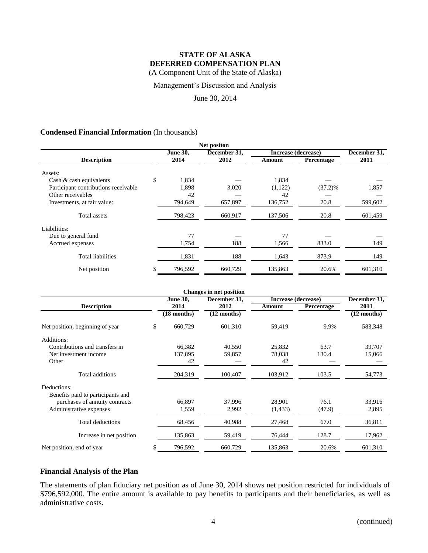Management's Discussion and Analysis

### June 30, 2014

#### **Condensed Financial Information** (In thousands)

| Net positon                          |    |                 |              |                     |            |              |  |  |
|--------------------------------------|----|-----------------|--------------|---------------------|------------|--------------|--|--|
|                                      |    | <b>June 30,</b> | December 31, | Increase (decrease) |            | December 31, |  |  |
| <b>Description</b>                   |    | 2014            | 2012         | Amount              | Percentage | 2011         |  |  |
| Assets:                              |    |                 |              |                     |            |              |  |  |
| Cash $\&$ cash equivalents           | \$ | 1,834           |              | 1,834               |            |              |  |  |
| Participant contributions receivable |    | 1,898           | 3,020        | (1,122)             | $(37.2)\%$ | 1,857        |  |  |
| Other receivables                    |    | 42              |              | 42                  |            |              |  |  |
| Investments, at fair value:          |    | 794,649         | 657,897      | 136,752             | 20.8       | 599,602      |  |  |
| Total assets                         |    | 798,423         | 660,917      | 137,506             | 20.8       | 601,459      |  |  |
| Liabilities:                         |    |                 |              |                     |            |              |  |  |
| Due to general fund                  |    | 77              |              | 77                  |            |              |  |  |
| Accrued expenses                     |    | 1,754           | 188          | 1,566               | 833.0      | 149          |  |  |
| <b>Total liabilities</b>             |    | 1,831           | 188          | 1,643               | 873.9      | 149          |  |  |
| Net position                         | \$ | 796,592         | 660,729      | 135,863             | 20.6%      | 601,310      |  |  |

|                                   |                                                        |               | <b>Changes in net position</b> |          |            |               |
|-----------------------------------|--------------------------------------------------------|---------------|--------------------------------|----------|------------|---------------|
|                                   | <b>June 30,</b><br>December 31,<br>Increase (decrease) |               |                                |          |            | December 31.  |
| <b>Description</b>                |                                                        | 2014          | 2012                           | Amount   | Percentage | 2011          |
|                                   |                                                        | $(18$ months) | $(12$ months)                  |          |            | $(12$ months) |
| Net position, beginning of year   | \$.                                                    | 660,729       | 601,310                        | 59,419   | 9.9%       | 583,348       |
| Additions:                        |                                                        |               |                                |          |            |               |
| Contributions and transfers in    |                                                        | 66,382        | 40,550                         | 25,832   | 63.7       | 39,707        |
| Net investment income             |                                                        | 137,895       | 59,857                         | 78,038   | 130.4      | 15,066        |
| Other                             |                                                        | 42            |                                | 42       |            |               |
| Total additions                   |                                                        | 204,319       | 100,407                        | 103,912  | 103.5      | 54,773        |
| Deductions:                       |                                                        |               |                                |          |            |               |
| Benefits paid to participants and |                                                        |               |                                |          |            |               |
| purchases of annuity contracts    |                                                        | 66,897        | 37,996                         | 28,901   | 76.1       | 33,916        |
| Administrative expenses           |                                                        | 1,559         | 2,992                          | (1, 433) | (47.9)     | 2,895         |
| Total deductions                  |                                                        | 68,456        | 40,988                         | 27,468   | 67.0       | 36,811        |
| Increase in net position          |                                                        | 135,863       | 59,419                         | 76,444   | 128.7      | 17,962        |
| Net position, end of year         | \$                                                     | 796,592       | 660,729                        | 135,863  | 20.6%      | 601,310       |

#### **Financial Analysis of the Plan**

The statements of plan fiduciary net position as of June 30, 2014 shows net position restricted for individuals of \$796,592,000. The entire amount is available to pay benefits to participants and their beneficiaries, as well as administrative costs.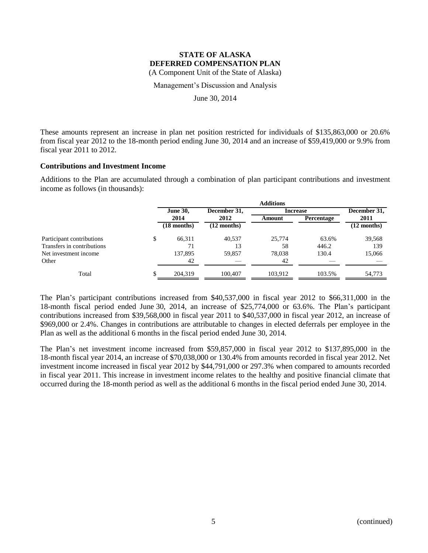Management's Discussion and Analysis

June 30, 2014

These amounts represent an increase in plan net position restricted for individuals of \$135,863,000 or 20.6% from fiscal year 2012 to the 18-month period ending June 30, 2014 and an increase of \$59,419,000 or 9.9% from fiscal year 2011 to 2012.

#### **Contributions and Investment Income**

Additions to the Plan are accumulated through a combination of plan participant contributions and investment income as follows (in thousands):

|                            |    | <b>Additions</b> |               |                 |              |               |  |  |
|----------------------------|----|------------------|---------------|-----------------|--------------|---------------|--|--|
|                            |    | <b>June 30,</b>  | December 31,  | <b>Increase</b> | December 31, |               |  |  |
|                            |    | 2014             | 2012          | Amount          | Percentage   | 2011          |  |  |
|                            |    | $(18$ months)    | $(12$ months) |                 |              | $(12$ months) |  |  |
| Participant contributions  | \$ | 66,311           | 40,537        | 25,774          | 63.6%        | 39,568        |  |  |
| Transfers in contributions |    | 71               | 13            | 58              | 446.2        | 139           |  |  |
| Net investment income      |    | 137,895          | 59,857        | 78,038          | 130.4        | 15,066        |  |  |
| Other                      |    | 42               |               | 42              |              |               |  |  |
| Total                      |    | 204.319          | 100,407       | 103.912         | 103.5%       | 54,773        |  |  |

The Plan's participant contributions increased from \$40,537,000 in fiscal year 2012 to \$66,311,000 in the 18-month fiscal period ended June 30, 2014, an increase of \$25,774,000 or 63.6%. The Plan's participant contributions increased from \$39,568,000 in fiscal year 2011 to \$40,537,000 in fiscal year 2012, an increase of \$969,000 or 2.4%. Changes in contributions are attributable to changes in elected deferrals per employee in the Plan as well as the additional 6 months in the fiscal period ended June 30, 2014.

The Plan's net investment income increased from \$59,857,000 in fiscal year 2012 to \$137,895,000 in the 18-month fiscal year 2014, an increase of \$70,038,000 or 130.4% from amounts recorded in fiscal year 2012. Net investment income increased in fiscal year 2012 by \$44,791,000 or 297.3% when compared to amounts recorded in fiscal year 2011. This increase in investment income relates to the healthy and positive financial climate that occurred during the 18-month period as well as the additional 6 months in the fiscal period ended June 30, 2014.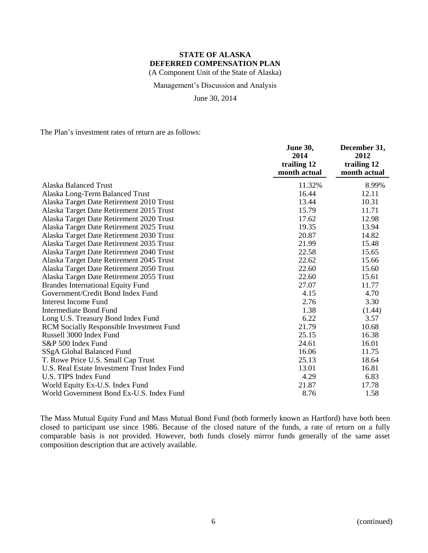Management's Discussion and Analysis

June 30, 2014

The Plan's investment rates of return are as follows:

|                                                 | <b>June 30,</b><br>2014<br>trailing 12<br>month actual | December 31,<br>2012<br>trailing 12<br>month actual |
|-------------------------------------------------|--------------------------------------------------------|-----------------------------------------------------|
| Alaska Balanced Trust                           | 11.32%                                                 | 8.99%                                               |
| Alaska Long-Term Balanced Trust                 | 16.44                                                  | 12.11                                               |
| Alaska Target Date Retirement 2010 Trust        | 13.44                                                  | 10.31                                               |
| Alaska Target Date Retirement 2015 Trust        | 15.79                                                  | 11.71                                               |
| Alaska Target Date Retirement 2020 Trust        | 17.62                                                  | 12.98                                               |
| Alaska Target Date Retirement 2025 Trust        | 19.35                                                  | 13.94                                               |
| Alaska Target Date Retirement 2030 Trust        | 20.87                                                  | 14.82                                               |
| Alaska Target Date Retirement 2035 Trust        | 21.99                                                  | 15.48                                               |
| Alaska Target Date Retirement 2040 Trust        | 22.58                                                  | 15.65                                               |
| Alaska Target Date Retirement 2045 Trust        | 22.62                                                  | 15.66                                               |
| Alaska Target Date Retirement 2050 Trust        | 22.60                                                  | 15.60                                               |
| Alaska Target Date Retirement 2055 Trust        | 22.60                                                  | 15.61                                               |
| <b>Brandes International Equity Fund</b>        | 27.07                                                  | 11.77                                               |
| Government/Credit Bond Index Fund               | 4.15                                                   | 4.70                                                |
| <b>Interest Income Fund</b>                     | 2.76                                                   | 3.30                                                |
| <b>Intermediate Bond Fund</b>                   | 1.38                                                   | (1.44)                                              |
| Long U.S. Treasury Bond Index Fund              | 6.22                                                   | 3.57                                                |
| <b>RCM</b> Socially Responsible Investment Fund | 21.79                                                  | 10.68                                               |
| Russell 3000 Index Fund                         | 25.15                                                  | 16.38                                               |
| S&P 500 Index Fund                              | 24.61                                                  | 16.01                                               |
| SSgA Global Balanced Fund                       | 16.06                                                  | 11.75                                               |
| T. Rowe Price U.S. Small Cap Trust              | 25.13                                                  | 18.64                                               |
| U.S. Real Estate Investment Trust Index Fund    | 13.01                                                  | 16.81                                               |
| U.S. TIPS Index Fund                            | 4.29                                                   | 6.83                                                |
| World Equity Ex-U.S. Index Fund                 | 21.87                                                  | 17.78                                               |
| World Government Bond Ex-U.S. Index Fund        | 8.76                                                   | 1.58                                                |

The Mass Mutual Equity Fund and Mass Mutual Bond Fund (both formerly known as Hartford) have both been closed to participant use since 1986. Because of the closed nature of the funds, a rate of return on a fully comparable basis is not provided. However, both funds closely mirror funds generally of the same asset composition description that are actively available.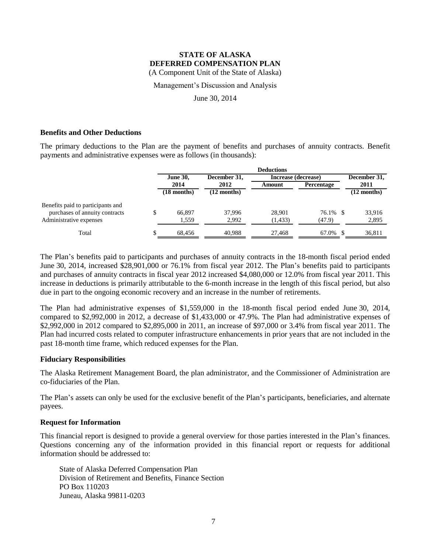Management's Discussion and Analysis

#### June 30, 2014

#### **Benefits and Other Deductions**

The primary deductions to the Plan are the payment of benefits and purchases of annuity contracts. Benefit payments and administrative expenses were as follows (in thousands):

|                                   | <b>Deductions</b> |                 |               |                     |                   |               |  |
|-----------------------------------|-------------------|-----------------|---------------|---------------------|-------------------|---------------|--|
|                                   |                   | <b>June 30,</b> | December 31,  | Increase (decrease) | December 31,      |               |  |
|                                   |                   | 2014            | 2012          | Amount              | <b>Percentage</b> | 2011          |  |
|                                   |                   | $(18$ months)   | $(12$ months) |                     |                   | $(12$ months) |  |
| Benefits paid to participants and |                   |                 |               |                     |                   |               |  |
| purchases of annuity contracts    | \$                | 66.897          | 37.996        | 28.901              | 76.1% \$          | 33,916        |  |
| Administrative expenses           |                   | 1,559           | 2.992         | (1, 433)            | (47.9)            | 2,895         |  |
| Total                             | \$                | 68.456          | 40.988        | 27.468              | 67.0%             | 36,811        |  |

The Plan's benefits paid to participants and purchases of annuity contracts in the 18-month fiscal period ended June 30, 2014, increased \$28,901,000 or 76.1% from fiscal year 2012. The Plan's benefits paid to participants and purchases of annuity contracts in fiscal year 2012 increased \$4,080,000 or 12.0% from fiscal year 2011. This increase in deductions is primarily attributable to the 6-month increase in the length of this fiscal period, but also due in part to the ongoing economic recovery and an increase in the number of retirements.

The Plan had administrative expenses of \$1,559,000 in the 18-month fiscal period ended June 30, 2014, compared to \$2,992,000 in 2012, a decrease of \$1,433,000 or 47.9%. The Plan had administrative expenses of \$2,992,000 in 2012 compared to \$2,895,000 in 2011, an increase of \$97,000 or 3.4% from fiscal year 2011. The Plan had incurred costs related to computer infrastructure enhancements in prior years that are not included in the past 18-month time frame, which reduced expenses for the Plan.

#### **Fiduciary Responsibilities**

The Alaska Retirement Management Board, the plan administrator, and the Commissioner of Administration are co-fiduciaries of the Plan.

The Plan's assets can only be used for the exclusive benefit of the Plan's participants, beneficiaries, and alternate payees.

#### **Request for Information**

This financial report is designed to provide a general overview for those parties interested in the Plan's finances. Questions concerning any of the information provided in this financial report or requests for additional information should be addressed to:

State of Alaska Deferred Compensation Plan Division of Retirement and Benefits, Finance Section PO Box 110203 Juneau, Alaska 99811-0203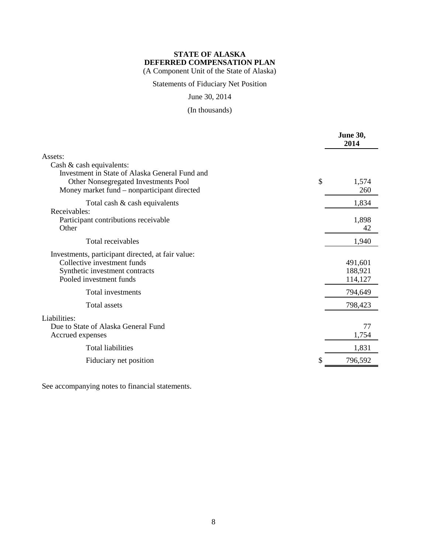# Statements of Fiduciary Net Position

June 30, 2014

(In thousands)

| Assets:                                               |         |
|-------------------------------------------------------|---------|
| Cash $\&$ cash equivalents:                           |         |
| Investment in State of Alaska General Fund and        |         |
| $\mathcal{S}$<br>Other Nonsegregated Investments Pool | 1,574   |
| Money market fund – nonparticipant directed           | 260     |
| Total cash & cash equivalents                         | 1,834   |
| Receivables:                                          |         |
| Participant contributions receivable                  | 1,898   |
| Other                                                 | 42      |
| Total receivables                                     | 1,940   |
| Investments, participant directed, at fair value:     |         |
| Collective investment funds                           | 491,601 |
| Synthetic investment contracts                        | 188,921 |
| Pooled investment funds                               | 114,127 |
| Total investments                                     | 794,649 |
| <b>Total assets</b>                                   | 798,423 |
| Liabilities:                                          |         |
| Due to State of Alaska General Fund                   | 77      |
| Accrued expenses                                      | 1,754   |
| <b>Total liabilities</b>                              | 1,831   |
| Fiduciary net position                                | 796,592 |

See accompanying notes to financial statements.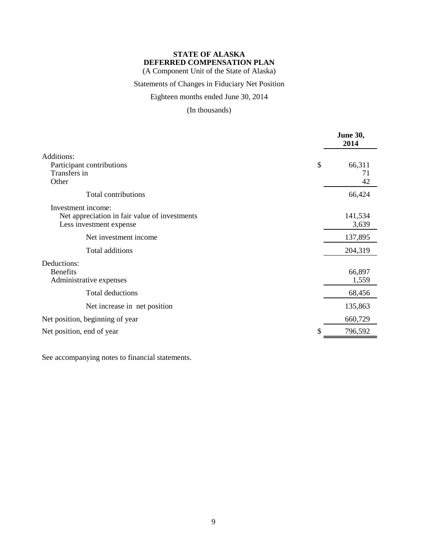# **STATE OF ALASKA DEFERRED COMPENSATION PLAN**

(A Component Unit of the State of Alaska)

# Statements of Changes in Fiduciary Net Position

Eighteen months ended June 30, 2014

(In thousands)

|                                               | <b>June 30,</b><br>2014 |
|-----------------------------------------------|-------------------------|
| Additions:                                    |                         |
| Participant contributions<br>Transfers in     | \$<br>66,311<br>71      |
| Other                                         | 42                      |
| Total contributions                           | 66,424                  |
| Investment income:                            |                         |
| Net appreciation in fair value of investments | 141,534                 |
| Less investment expense                       | 3,639                   |
| Net investment income                         | 137,895                 |
| Total additions                               | 204,319                 |
| Deductions:                                   |                         |
| <b>Benefits</b>                               | 66,897                  |
| Administrative expenses                       | 1,559                   |
| Total deductions                              | 68,456                  |
| Net increase in net position                  | 135,863                 |
| Net position, beginning of year               | 660,729                 |
| Net position, end of year                     | \$<br>796,592           |
|                                               |                         |

See accompanying notes to financial statements.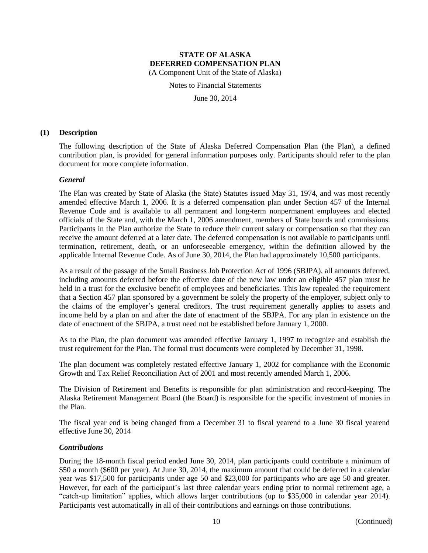Notes to Financial Statements

June 30, 2014

#### **(1) Description**

The following description of the State of Alaska Deferred Compensation Plan (the Plan), a defined contribution plan, is provided for general information purposes only. Participants should refer to the plan document for more complete information.

#### *General*

The Plan was created by State of Alaska (the State) Statutes issued May 31, 1974, and was most recently amended effective March 1, 2006. It is a deferred compensation plan under Section 457 of the Internal Revenue Code and is available to all permanent and long-term nonpermanent employees and elected officials of the State and, with the March 1, 2006 amendment, members of State boards and commissions. Participants in the Plan authorize the State to reduce their current salary or compensation so that they can receive the amount deferred at a later date. The deferred compensation is not available to participants until termination, retirement, death, or an unforeseeable emergency, within the definition allowed by the applicable Internal Revenue Code. As of June 30, 2014, the Plan had approximately 10,500 participants.

As a result of the passage of the Small Business Job Protection Act of 1996 (SBJPA), all amounts deferred, including amounts deferred before the effective date of the new law under an eligible 457 plan must be held in a trust for the exclusive benefit of employees and beneficiaries. This law repealed the requirement that a Section 457 plan sponsored by a government be solely the property of the employer, subject only to the claims of the employer's general creditors. The trust requirement generally applies to assets and income held by a plan on and after the date of enactment of the SBJPA. For any plan in existence on the date of enactment of the SBJPA, a trust need not be established before January 1, 2000.

As to the Plan, the plan document was amended effective January 1, 1997 to recognize and establish the trust requirement for the Plan. The formal trust documents were completed by December 31, 1998.

The plan document was completely restated effective January 1, 2002 for compliance with the Economic Growth and Tax Relief Reconciliation Act of 2001 and most recently amended March 1, 2006.

The Division of Retirement and Benefits is responsible for plan administration and record-keeping. The Alaska Retirement Management Board (the Board) is responsible for the specific investment of monies in the Plan.

The fiscal year end is being changed from a December 31 to fiscal yearend to a June 30 fiscal yearend effective June 30, 2014

#### *Contributions*

During the 18-month fiscal period ended June 30, 2014, plan participants could contribute a minimum of \$50 a month (\$600 per year). At June 30, 2014, the maximum amount that could be deferred in a calendar year was \$17,500 for participants under age 50 and \$23,000 for participants who are age 50 and greater. However, for each of the participant's last three calendar years ending prior to normal retirement age, a "catch-up limitation" applies, which allows larger contributions (up to \$35,000 in calendar year 2014). Participants vest automatically in all of their contributions and earnings on those contributions.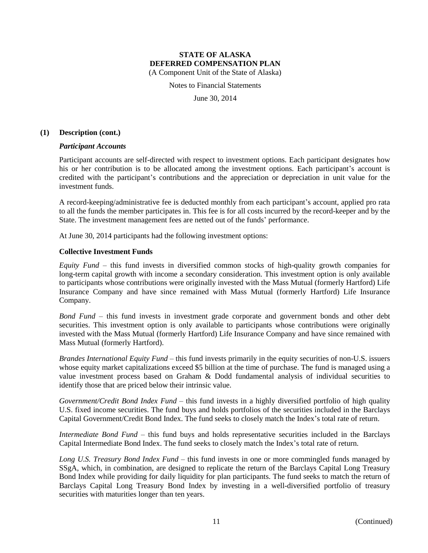Notes to Financial Statements

June 30, 2014

#### **(1) Description (cont.)**

#### *Participant Accounts*

Participant accounts are self-directed with respect to investment options. Each participant designates how his or her contribution is to be allocated among the investment options. Each participant's account is credited with the participant's contributions and the appreciation or depreciation in unit value for the investment funds.

A record-keeping/administrative fee is deducted monthly from each participant's account, applied pro rata to all the funds the member participates in. This fee is for all costs incurred by the record-keeper and by the State. The investment management fees are netted out of the funds' performance.

At June 30, 2014 participants had the following investment options:

#### **Collective Investment Funds**

*Equity Fund* – this fund invests in diversified common stocks of high-quality growth companies for long-term capital growth with income a secondary consideration. This investment option is only available to participants whose contributions were originally invested with the Mass Mutual (formerly Hartford) Life Insurance Company and have since remained with Mass Mutual (formerly Hartford) Life Insurance Company.

*Bond Fund* – this fund invests in investment grade corporate and government bonds and other debt securities. This investment option is only available to participants whose contributions were originally invested with the Mass Mutual (formerly Hartford) Life Insurance Company and have since remained with Mass Mutual (formerly Hartford).

*Brandes International Equity Fund* – this fund invests primarily in the equity securities of non-U.S. issuers whose equity market capitalizations exceed \$5 billion at the time of purchase. The fund is managed using a value investment process based on Graham & Dodd fundamental analysis of individual securities to identify those that are priced below their intrinsic value.

*Government/Credit Bond Index Fund* – this fund invests in a highly diversified portfolio of high quality U.S. fixed income securities. The fund buys and holds portfolios of the securities included in the Barclays Capital Government/Credit Bond Index. The fund seeks to closely match the Index's total rate of return.

*Intermediate Bond Fund* – this fund buys and holds representative securities included in the Barclays Capital Intermediate Bond Index. The fund seeks to closely match the Index's total rate of return.

*Long U.S. Treasury Bond Index Fund* – this fund invests in one or more commingled funds managed by SSgA, which, in combination, are designed to replicate the return of the Barclays Capital Long Treasury Bond Index while providing for daily liquidity for plan participants. The fund seeks to match the return of Barclays Capital Long Treasury Bond Index by investing in a well-diversified portfolio of treasury securities with maturities longer than ten years.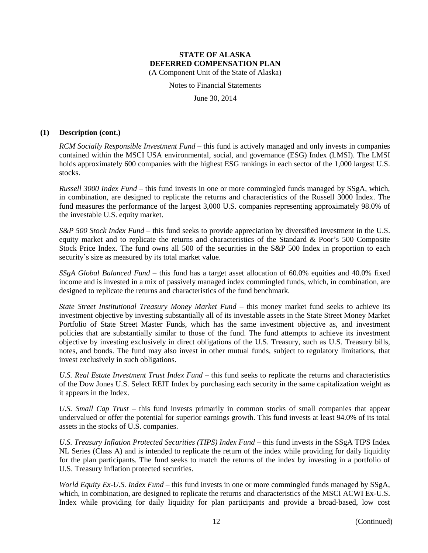Notes to Financial Statements

June 30, 2014

#### **(1) Description (cont.)**

*RCM Socially Responsible Investment Fund* – this fund is actively managed and only invests in companies contained within the MSCI USA environmental, social, and governance (ESG) Index (LMSI). The LMSI holds approximately 600 companies with the highest ESG rankings in each sector of the 1,000 largest U.S. stocks.

*Russell 3000 Index Fund* – this fund invests in one or more commingled funds managed by SSgA, which, in combination, are designed to replicate the returns and characteristics of the Russell 3000 Index. The fund measures the performance of the largest 3,000 U.S. companies representing approximately 98.0% of the investable U.S. equity market.

*S&P 500 Stock Index Fund* – this fund seeks to provide appreciation by diversified investment in the U.S. equity market and to replicate the returns and characteristics of the Standard & Poor's 500 Composite Stock Price Index. The fund owns all 500 of the securities in the S&P 500 Index in proportion to each security's size as measured by its total market value.

*SSgA Global Balanced Fund* – this fund has a target asset allocation of 60.0% equities and 40.0% fixed income and is invested in a mix of passively managed index commingled funds, which, in combination, are designed to replicate the returns and characteristics of the fund benchmark.

*State Street Institutional Treasury Money Market Fund* – this money market fund seeks to achieve its investment objective by investing substantially all of its investable assets in the State Street Money Market Portfolio of State Street Master Funds, which has the same investment objective as, and investment policies that are substantially similar to those of the fund. The fund attempts to achieve its investment objective by investing exclusively in direct obligations of the U.S. Treasury, such as U.S. Treasury bills, notes, and bonds. The fund may also invest in other mutual funds, subject to regulatory limitations, that invest exclusively in such obligations.

*U.S. Real Estate Investment Trust Index Fund* – this fund seeks to replicate the returns and characteristics of the Dow Jones U.S. Select REIT Index by purchasing each security in the same capitalization weight as it appears in the Index.

*U.S. Small Cap Trust* – this fund invests primarily in common stocks of small companies that appear undervalued or offer the potential for superior earnings growth. This fund invests at least 94.0% of its total assets in the stocks of U.S. companies.

*U.S. Treasury Inflation Protected Securities (TIPS) Index Fund* – this fund invests in the SSgA TIPS Index NL Series (Class A) and is intended to replicate the return of the index while providing for daily liquidity for the plan participants. The fund seeks to match the returns of the index by investing in a portfolio of U.S. Treasury inflation protected securities.

*World Equity Ex-U.S. Index Fund* – this fund invests in one or more commingled funds managed by SSgA, which, in combination, are designed to replicate the returns and characteristics of the MSCI ACWI Ex-U.S. Index while providing for daily liquidity for plan participants and provide a broad-based, low cost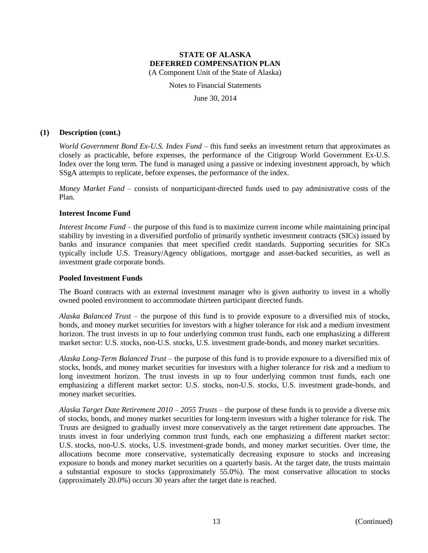Notes to Financial Statements

June 30, 2014

#### **(1) Description (cont.)**

*World Government Bond Ex-U.S. Index Fund* – this fund seeks an investment return that approximates as closely as practicable, before expenses, the performance of the Citigroup World Government Ex-U.S. Index over the long term. The fund is managed using a passive or indexing investment approach, by which SSgA attempts to replicate, before expenses, the performance of the index.

*Money Market Fund* – consists of nonparticipant-directed funds used to pay administrative costs of the Plan.

#### **Interest Income Fund**

*Interest Income Fund* – the purpose of this fund is to maximize current income while maintaining principal stability by investing in a diversified portfolio of primarily synthetic investment contracts (SICs) issued by banks and insurance companies that meet specified credit standards. Supporting securities for SICs typically include U.S. Treasury/Agency obligations, mortgage and asset-backed securities, as well as investment grade corporate bonds.

#### **Pooled Investment Funds**

The Board contracts with an external investment manager who is given authority to invest in a wholly owned pooled environment to accommodate thirteen participant directed funds.

*Alaska Balanced Trust* – the purpose of this fund is to provide exposure to a diversified mix of stocks, bonds, and money market securities for investors with a higher tolerance for risk and a medium investment horizon. The trust invests in up to four underlying common trust funds, each one emphasizing a different market sector: U.S. stocks, non-U.S. stocks, U.S. investment grade-bonds, and money market securities.

*Alaska Long-Term Balanced Trust* – the purpose of this fund is to provide exposure to a diversified mix of stocks, bonds, and money market securities for investors with a higher tolerance for risk and a medium to long investment horizon. The trust invests in up to four underlying common trust funds, each one emphasizing a different market sector: U.S. stocks, non-U.S. stocks, U.S. investment grade-bonds, and money market securities.

*Alaska Target Date Retirement 2010* – *2055 Trusts* – the purpose of these funds is to provide a diverse mix of stocks, bonds, and money market securities for long-term investors with a higher tolerance for risk. The Trusts are designed to gradually invest more conservatively as the target retirement date approaches. The trusts invest in four underlying common trust funds, each one emphasizing a different market sector: U.S. stocks, non-U.S. stocks, U.S. investment-grade bonds, and money market securities. Over time, the allocations become more conservative, systematically decreasing exposure to stocks and increasing exposure to bonds and money market securities on a quarterly basis. At the target date, the trusts maintain a substantial exposure to stocks (approximately 55.0%). The most conservative allocation to stocks (approximately 20.0%) occurs 30 years after the target date is reached.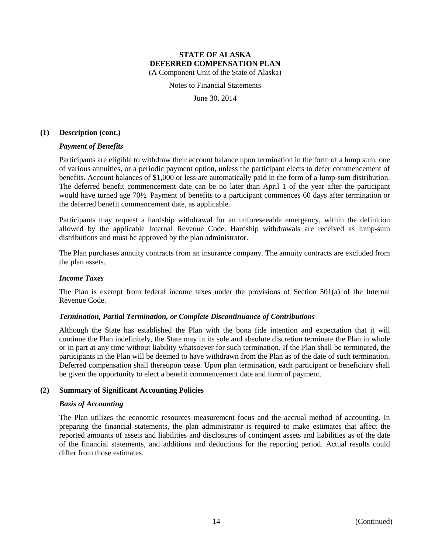Notes to Financial Statements

June 30, 2014

#### **(1) Description (cont.)**

#### *Payment of Benefits*

Participants are eligible to withdraw their account balance upon termination in the form of a lump sum, one of various annuities, or a periodic payment option, unless the participant elects to defer commencement of benefits. Account balances of \$1,000 or less are automatically paid in the form of a lump-sum distribution. The deferred benefit commencement date can be no later than April 1 of the year after the participant would have turned age 70½. Payment of benefits to a participant commences 60 days after termination or the deferred benefit commencement date, as applicable.

Participants may request a hardship withdrawal for an unforeseeable emergency, within the definition allowed by the applicable Internal Revenue Code. Hardship withdrawals are received as lump-sum distributions and must be approved by the plan administrator.

The Plan purchases annuity contracts from an insurance company. The annuity contracts are excluded from the plan assets.

#### *Income Taxes*

The Plan is exempt from federal income taxes under the provisions of Section 501(a) of the Internal Revenue Code.

#### *Termination, Partial Termination, or Complete Discontinuance of Contributions*

Although the State has established the Plan with the bona fide intention and expectation that it will continue the Plan indefinitely, the State may in its sole and absolute discretion terminate the Plan in whole or in part at any time without liability whatsoever for such termination. If the Plan shall be terminated, the participants in the Plan will be deemed to have withdrawn from the Plan as of the date of such termination. Deferred compensation shall thereupon cease. Upon plan termination, each participant or beneficiary shall be given the opportunity to elect a benefit commencement date and form of payment.

#### **(2) Summary of Significant Accounting Policies**

#### *Basis of Accounting*

The Plan utilizes the economic resources measurement focus and the accrual method of accounting. In preparing the financial statements, the plan administrator is required to make estimates that affect the reported amounts of assets and liabilities and disclosures of contingent assets and liabilities as of the date of the financial statements, and additions and deductions for the reporting period. Actual results could differ from those estimates.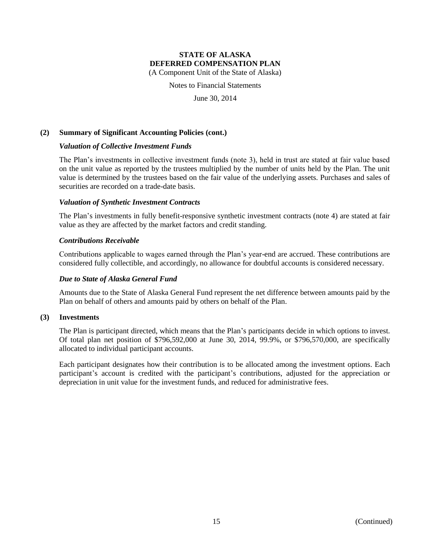# **STATE OF ALASKA DEFERRED COMPENSATION PLAN**

(A Component Unit of the State of Alaska)

Notes to Financial Statements

June 30, 2014

#### **(2) Summary of Significant Accounting Policies (cont.)**

#### *Valuation of Collective Investment Funds*

The Plan's investments in collective investment funds (note 3), held in trust are stated at fair value based on the unit value as reported by the trustees multiplied by the number of units held by the Plan. The unit value is determined by the trustees based on the fair value of the underlying assets. Purchases and sales of securities are recorded on a trade-date basis.

#### *Valuation of Synthetic Investment Contracts*

The Plan's investments in fully benefit-responsive synthetic investment contracts (note 4) are stated at fair value as they are affected by the market factors and credit standing.

#### *Contributions Receivable*

Contributions applicable to wages earned through the Plan's year-end are accrued. These contributions are considered fully collectible, and accordingly, no allowance for doubtful accounts is considered necessary.

#### *Due to State of Alaska General Fund*

Amounts due to the State of Alaska General Fund represent the net difference between amounts paid by the Plan on behalf of others and amounts paid by others on behalf of the Plan.

#### **(3) Investments**

The Plan is participant directed, which means that the Plan's participants decide in which options to invest. Of total plan net position of \$796,592,000 at June 30, 2014, 99.9%, or \$796,570,000, are specifically allocated to individual participant accounts.

Each participant designates how their contribution is to be allocated among the investment options. Each participant's account is credited with the participant's contributions, adjusted for the appreciation or depreciation in unit value for the investment funds, and reduced for administrative fees.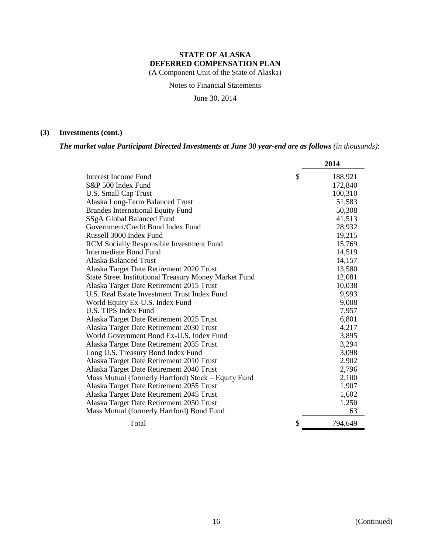Notes to Financial Statements

June 30, 2014

# **(3) Investments (cont.)**

# *The market value Participant Directed Investments at June 30 year-end are as follows (in thousands)*:

|                                                       | 2014          |
|-------------------------------------------------------|---------------|
| Interest Income Fund                                  | \$<br>188,921 |
| S&P 500 Index Fund                                    | 172,840       |
| U.S. Small Cap Trust                                  | 100,310       |
| Alaska Long-Term Balanced Trust                       | 51,583        |
| <b>Brandes International Equity Fund</b>              | 50,308        |
| SSgA Global Balanced Fund                             | 41,513        |
| Government/Credit Bond Index Fund                     | 28,932        |
| Russell 3000 Index Fund                               | 19,215        |
| <b>RCM Socially Responsible Investment Fund</b>       | 15,769        |
| Intermediate Bond Fund                                | 14,519        |
| <b>Alaska Balanced Trust</b>                          | 14,157        |
| Alaska Target Date Retirement 2020 Trust              | 13,580        |
| State Street Institutional Treasury Money Market Fund | 12,081        |
| Alaska Target Date Retirement 2015 Trust              | 10,038        |
| U.S. Real Estate Investment Trust Index Fund          | 9,993         |
| World Equity Ex-U.S. Index Fund                       | 9,008         |
| U.S. TIPS Index Fund                                  | 7,957         |
| Alaska Target Date Retirement 2025 Trust              | 6,801         |
| Alaska Target Date Retirement 2030 Trust              | 4,217         |
| World Government Bond Ex-U.S. Index Fund              | 3,895         |
| Alaska Target Date Retirement 2035 Trust              | 3,294         |
| Long U.S. Treasury Bond Index Fund                    | 3,098         |
| Alaska Target Date Retirement 2010 Trust              | 2,902         |
| Alaska Target Date Retirement 2040 Trust              | 2,796         |
| Mass Mutual (formerly Hartford) Stock – Equity Fund   | 2,100         |
| Alaska Target Date Retirement 2055 Trust              | 1,907         |
| Alaska Target Date Retirement 2045 Trust              | 1,602         |
| Alaska Target Date Retirement 2050 Trust              | 1,250         |
| Mass Mutual (formerly Hartford) Bond Fund             | 63            |
| Total                                                 | \$<br>794,649 |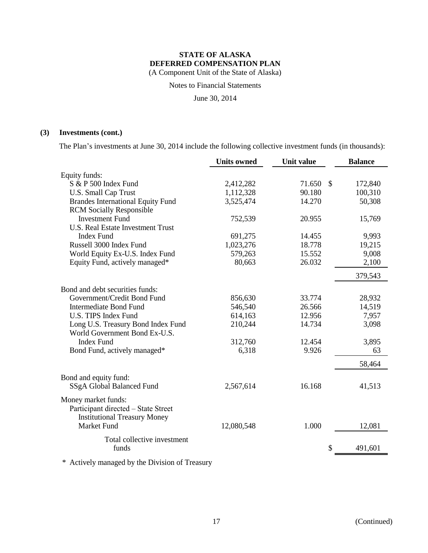Notes to Financial Statements

June 30, 2014

# **(3) Investments (cont.)**

The Plan's investments at June 30, 2014 include the following collective investment funds (in thousands):

|                                                            | <b>Units owned</b> | <b>Unit value</b> |              | <b>Balance</b> |
|------------------------------------------------------------|--------------------|-------------------|--------------|----------------|
| Equity funds:                                              |                    |                   |              |                |
| S & P 500 Index Fund                                       | 2,412,282          | 71.650            | $\mathbb{S}$ | 172,840        |
| <b>U.S. Small Cap Trust</b>                                | 1,112,328          | 90.180            |              | 100,310        |
| <b>Brandes International Equity Fund</b>                   | 3,525,474          | 14.270            |              | 50,308         |
| <b>RCM Socially Responsible</b>                            |                    |                   |              |                |
| <b>Investment Fund</b>                                     | 752,539            | 20.955            |              | 15,769         |
| <b>U.S. Real Estate Investment Trust</b>                   |                    |                   |              |                |
| <b>Index Fund</b>                                          | 691,275            | 14.455            |              | 9,993          |
| Russell 3000 Index Fund                                    | 1,023,276          | 18.778            |              | 19,215         |
| World Equity Ex-U.S. Index Fund                            | 579,263            | 15.552            |              | 9,008          |
| Equity Fund, actively managed*                             | 80,663             | 26.032            |              | 2,100          |
|                                                            |                    |                   |              | 379,543        |
| Bond and debt securities funds:                            |                    |                   |              |                |
| Government/Credit Bond Fund                                | 856,630            | 33.774            |              | 28,932         |
| <b>Intermediate Bond Fund</b>                              | 546,540            | 26.566            |              | 14,519         |
| U.S. TIPS Index Fund                                       | 614,163            | 12.956            |              | 7,957          |
| Long U.S. Treasury Bond Index Fund                         | 210,244            | 14.734            |              | 3,098          |
| World Government Bond Ex-U.S.                              |                    |                   |              |                |
| <b>Index Fund</b>                                          | 312,760            | 12.454            |              | 3,895          |
| Bond Fund, actively managed*                               | 6,318              | 9.926             |              | 63             |
|                                                            |                    |                   |              | 58,464         |
| Bond and equity fund:                                      |                    |                   |              |                |
| SSgA Global Balanced Fund                                  | 2,567,614          | 16.168            |              | 41,513         |
| Money market funds:<br>Participant directed - State Street |                    |                   |              |                |
| <b>Institutional Treasury Money</b><br><b>Market Fund</b>  | 12,080,548         | 1.000             |              | 12,081         |
|                                                            |                    |                   |              |                |
| Total collective investment                                |                    |                   |              |                |
| funds                                                      |                    |                   | \$           | 491,601        |

\* Actively managed by the Division of Treasury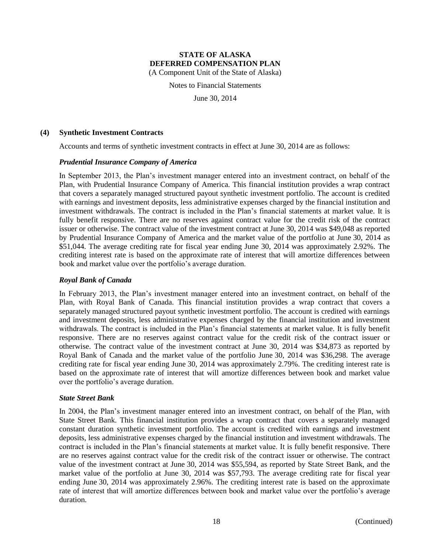Notes to Financial Statements

June 30, 2014

#### **(4) Synthetic Investment Contracts**

Accounts and terms of synthetic investment contracts in effect at June 30, 2014 are as follows:

#### *Prudential Insurance Company of America*

In September 2013, the Plan's investment manager entered into an investment contract, on behalf of the Plan, with Prudential Insurance Company of America. This financial institution provides a wrap contract that covers a separately managed structured payout synthetic investment portfolio. The account is credited with earnings and investment deposits, less administrative expenses charged by the financial institution and investment withdrawals. The contract is included in the Plan's financial statements at market value. It is fully benefit responsive. There are no reserves against contract value for the credit risk of the contract issuer or otherwise. The contract value of the investment contract at June 30, 2014 was \$49,048 as reported by Prudential Insurance Company of America and the market value of the portfolio at June 30, 2014 as \$51,044. The average crediting rate for fiscal year ending June 30, 2014 was approximately 2.92%. The crediting interest rate is based on the approximate rate of interest that will amortize differences between book and market value over the portfolio's average duration.

#### *Royal Bank of Canada*

In February 2013, the Plan's investment manager entered into an investment contract, on behalf of the Plan, with Royal Bank of Canada. This financial institution provides a wrap contract that covers a separately managed structured payout synthetic investment portfolio. The account is credited with earnings and investment deposits, less administrative expenses charged by the financial institution and investment withdrawals. The contract is included in the Plan's financial statements at market value. It is fully benefit responsive. There are no reserves against contract value for the credit risk of the contract issuer or otherwise. The contract value of the investment contract at June 30, 2014 was \$34,873 as reported by Royal Bank of Canada and the market value of the portfolio June 30, 2014 was \$36,298. The average crediting rate for fiscal year ending June 30, 2014 was approximately 2.79%. The crediting interest rate is based on the approximate rate of interest that will amortize differences between book and market value over the portfolio's average duration.

#### *State Street Bank*

In 2004, the Plan's investment manager entered into an investment contract, on behalf of the Plan, with State Street Bank. This financial institution provides a wrap contract that covers a separately managed constant duration synthetic investment portfolio. The account is credited with earnings and investment deposits, less administrative expenses charged by the financial institution and investment withdrawals. The contract is included in the Plan's financial statements at market value. It is fully benefit responsive. There are no reserves against contract value for the credit risk of the contract issuer or otherwise. The contract value of the investment contract at June 30, 2014 was \$55,594, as reported by State Street Bank, and the market value of the portfolio at June 30, 2014 was \$57,793. The average crediting rate for fiscal year ending June 30, 2014 was approximately 2.96%. The crediting interest rate is based on the approximate rate of interest that will amortize differences between book and market value over the portfolio's average duration.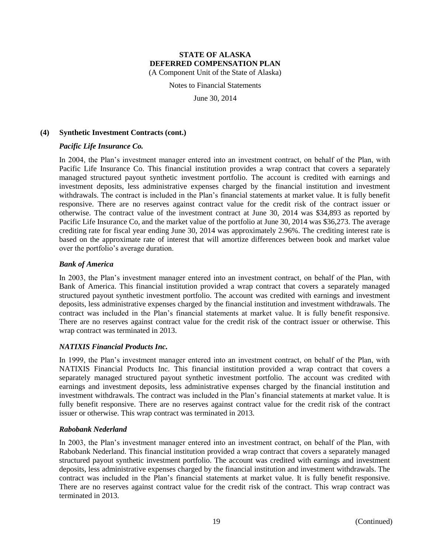Notes to Financial Statements

June 30, 2014

#### **(4) Synthetic Investment Contracts (cont.)**

#### *Pacific Life Insurance Co.*

In 2004, the Plan's investment manager entered into an investment contract, on behalf of the Plan, with Pacific Life Insurance Co. This financial institution provides a wrap contract that covers a separately managed structured payout synthetic investment portfolio. The account is credited with earnings and investment deposits, less administrative expenses charged by the financial institution and investment withdrawals. The contract is included in the Plan's financial statements at market value. It is fully benefit responsive. There are no reserves against contract value for the credit risk of the contract issuer or otherwise. The contract value of the investment contract at June 30, 2014 was \$34,893 as reported by Pacific Life Insurance Co, and the market value of the portfolio at June 30, 2014 was \$36,273. The average crediting rate for fiscal year ending June 30, 2014 was approximately 2.96%. The crediting interest rate is based on the approximate rate of interest that will amortize differences between book and market value over the portfolio's average duration.

#### *Bank of America*

In 2003, the Plan's investment manager entered into an investment contract, on behalf of the Plan, with Bank of America. This financial institution provided a wrap contract that covers a separately managed structured payout synthetic investment portfolio. The account was credited with earnings and investment deposits, less administrative expenses charged by the financial institution and investment withdrawals. The contract was included in the Plan's financial statements at market value. It is fully benefit responsive. There are no reserves against contract value for the credit risk of the contract issuer or otherwise. This wrap contract was terminated in 2013.

#### *NATIXIS Financial Products Inc.*

In 1999, the Plan's investment manager entered into an investment contract, on behalf of the Plan, with NATIXIS Financial Products Inc. This financial institution provided a wrap contract that covers a separately managed structured payout synthetic investment portfolio. The account was credited with earnings and investment deposits, less administrative expenses charged by the financial institution and investment withdrawals. The contract was included in the Plan's financial statements at market value. It is fully benefit responsive. There are no reserves against contract value for the credit risk of the contract issuer or otherwise. This wrap contract was terminated in 2013.

#### *Rabobank Nederland*

In 2003, the Plan's investment manager entered into an investment contract, on behalf of the Plan, with Rabobank Nederland. This financial institution provided a wrap contract that covers a separately managed structured payout synthetic investment portfolio. The account was credited with earnings and investment deposits, less administrative expenses charged by the financial institution and investment withdrawals. The contract was included in the Plan's financial statements at market value. It is fully benefit responsive. There are no reserves against contract value for the credit risk of the contract. This wrap contract was terminated in 2013.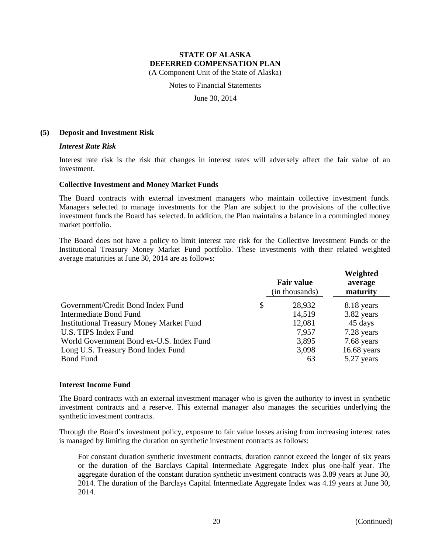# Notes to Financial Statements

#### June 30, 2014

#### **(5) Deposit and Investment Risk**

#### *Interest Rate Risk*

Interest rate risk is the risk that changes in interest rates will adversely affect the fair value of an investment.

#### **Collective Investment and Money Market Funds**

The Board contracts with external investment managers who maintain collective investment funds. Managers selected to manage investments for the Plan are subject to the provisions of the collective investment funds the Board has selected. In addition, the Plan maintains a balance in a commingled money market portfolio.

The Board does not have a policy to limit interest rate risk for the Collective Investment Funds or the Institutional Treasury Money Market Fund portfolio. These investments with their related weighted average maturities at June 30, 2014 are as follows:

|                                                 | <b>Fair value</b><br>(in thousands) | Weighted<br>average<br>maturity |
|-------------------------------------------------|-------------------------------------|---------------------------------|
| Government/Credit Bond Index Fund<br>\$         | 28,932                              | 8.18 years                      |
| Intermediate Bond Fund                          | 14,519                              | 3.82 years                      |
| <b>Institutional Treasury Money Market Fund</b> | 12,081                              | 45 days                         |
| U.S. TIPS Index Fund                            | 7,957                               | 7.28 years                      |
| World Government Bond ex-U.S. Index Fund        | 3,895                               | 7.68 years                      |
| Long U.S. Treasury Bond Index Fund              | 3,098                               | $16.68$ years                   |
| <b>Bond Fund</b>                                | 63                                  | 5.27 years                      |

#### **Interest Income Fund**

The Board contracts with an external investment manager who is given the authority to invest in synthetic investment contracts and a reserve. This external manager also manages the securities underlying the synthetic investment contracts.

Through the Board's investment policy, exposure to fair value losses arising from increasing interest rates is managed by limiting the duration on synthetic investment contracts as follows:

For constant duration synthetic investment contracts, duration cannot exceed the longer of six years or the duration of the Barclays Capital Intermediate Aggregate Index plus one-half year. The aggregate duration of the constant duration synthetic investment contracts was 3.89 years at June 30, 2014. The duration of the Barclays Capital Intermediate Aggregate Index was 4.19 years at June 30, 2014.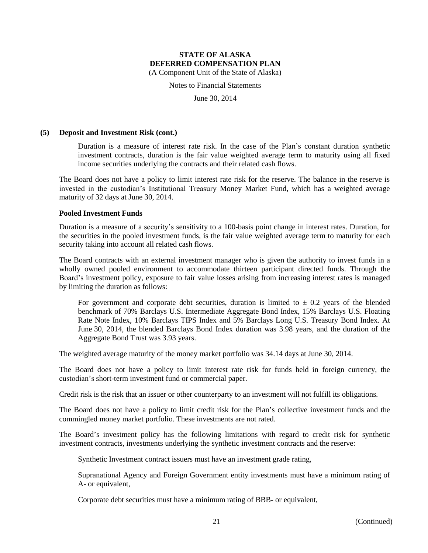Notes to Financial Statements

June 30, 2014

#### **(5) Deposit and Investment Risk (cont.)**

Duration is a measure of interest rate risk. In the case of the Plan's constant duration synthetic investment contracts, duration is the fair value weighted average term to maturity using all fixed income securities underlying the contracts and their related cash flows.

The Board does not have a policy to limit interest rate risk for the reserve. The balance in the reserve is invested in the custodian's Institutional Treasury Money Market Fund, which has a weighted average maturity of 32 days at June 30, 2014.

#### **Pooled Investment Funds**

Duration is a measure of a security's sensitivity to a 100-basis point change in interest rates. Duration, for the securities in the pooled investment funds, is the fair value weighted average term to maturity for each security taking into account all related cash flows.

The Board contracts with an external investment manager who is given the authority to invest funds in a wholly owned pooled environment to accommodate thirteen participant directed funds. Through the Board's investment policy, exposure to fair value losses arising from increasing interest rates is managed by limiting the duration as follows:

For government and corporate debt securities, duration is limited to  $\pm$  0.2 years of the blended benchmark of 70% Barclays U.S. Intermediate Aggregate Bond Index, 15% Barclays U.S. Floating Rate Note Index, 10% Barclays TIPS Index and 5% Barclays Long U.S. Treasury Bond Index. At June 30, 2014, the blended Barclays Bond Index duration was 3.98 years, and the duration of the Aggregate Bond Trust was 3.93 years.

The weighted average maturity of the money market portfolio was 34.14 days at June 30, 2014.

The Board does not have a policy to limit interest rate risk for funds held in foreign currency, the custodian's short-term investment fund or commercial paper.

Credit risk is the risk that an issuer or other counterparty to an investment will not fulfill its obligations.

The Board does not have a policy to limit credit risk for the Plan's collective investment funds and the commingled money market portfolio. These investments are not rated.

The Board's investment policy has the following limitations with regard to credit risk for synthetic investment contracts, investments underlying the synthetic investment contracts and the reserve:

Synthetic Investment contract issuers must have an investment grade rating,

Supranational Agency and Foreign Government entity investments must have a minimum rating of A- or equivalent,

Corporate debt securities must have a minimum rating of BBB- or equivalent,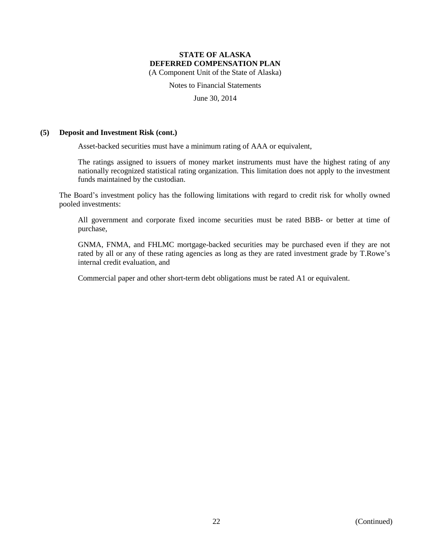Notes to Financial Statements

June 30, 2014

#### **(5) Deposit and Investment Risk (cont.)**

Asset-backed securities must have a minimum rating of AAA or equivalent,

The ratings assigned to issuers of money market instruments must have the highest rating of any nationally recognized statistical rating organization. This limitation does not apply to the investment funds maintained by the custodian.

The Board's investment policy has the following limitations with regard to credit risk for wholly owned pooled investments:

All government and corporate fixed income securities must be rated BBB- or better at time of purchase,

GNMA, FNMA, and FHLMC mortgage-backed securities may be purchased even if they are not rated by all or any of these rating agencies as long as they are rated investment grade by T.Rowe's internal credit evaluation, and

Commercial paper and other short-term debt obligations must be rated A1 or equivalent.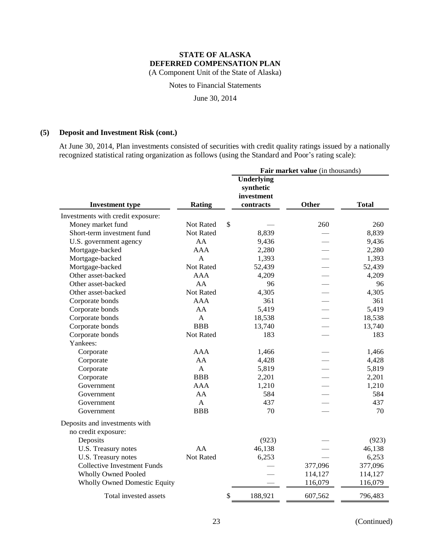Notes to Financial Statements

June 30, 2014

# **(5) Deposit and Investment Risk (cont.)**

At June 30, 2014, Plan investments consisted of securities with credit quality ratings issued by a nationally recognized statistical rating organization as follows (using the Standard and Poor's rating scale):

|                                     |                  | Fair market value (in thousands)             |         |              |  |  |
|-------------------------------------|------------------|----------------------------------------------|---------|--------------|--|--|
|                                     |                  | <b>Underlying</b><br>synthetic<br>investment |         |              |  |  |
| <b>Investment type</b>              | <b>Rating</b>    | contracts                                    | Other   | <b>Total</b> |  |  |
| Investments with credit exposure:   |                  |                                              |         |              |  |  |
| Money market fund                   | Not Rated        | \$                                           | 260     | 260          |  |  |
| Short-term investment fund          | <b>Not Rated</b> | 8,839                                        |         | 8,839        |  |  |
| U.S. government agency              | AA               | 9,436                                        |         | 9,436        |  |  |
| Mortgage-backed                     | <b>AAA</b>       | 2,280                                        |         | 2,280        |  |  |
| Mortgage-backed                     | $\overline{A}$   | 1,393                                        |         | 1,393        |  |  |
| Mortgage-backed                     | Not Rated        | 52,439                                       |         | 52,439       |  |  |
| Other asset-backed                  | <b>AAA</b>       | 4,209                                        |         | 4,209        |  |  |
| Other asset-backed                  | AA               | 96                                           |         | 96           |  |  |
| Other asset-backed                  | Not Rated        | 4,305                                        |         | 4,305        |  |  |
| Corporate bonds                     | AAA              | 361                                          |         | 361          |  |  |
| Corporate bonds                     | AA               | 5,419                                        |         | 5,419        |  |  |
| Corporate bonds                     | $\mathbf{A}$     | 18,538                                       |         | 18,538       |  |  |
| Corporate bonds                     | <b>BBB</b>       | 13,740                                       |         | 13,740       |  |  |
| Corporate bonds                     | Not Rated        | 183                                          |         | 183          |  |  |
| Yankees:                            |                  |                                              |         |              |  |  |
| Corporate                           | AAA              | 1,466                                        |         | 1,466        |  |  |
| Corporate                           | AA               | 4,428                                        |         | 4,428        |  |  |
| Corporate                           | $\mathbf{A}$     | 5,819                                        |         | 5,819        |  |  |
| Corporate                           | <b>BBB</b>       | 2,201                                        |         | 2,201        |  |  |
| Government                          | AAA              | 1,210                                        |         | 1,210        |  |  |
| Government                          | AA               | 584                                          |         | 584          |  |  |
| Government                          | $\mathbf{A}$     | 437                                          |         | 437          |  |  |
| Government                          | <b>BBB</b>       | 70                                           |         | 70           |  |  |
| Deposits and investments with       |                  |                                              |         |              |  |  |
| no credit exposure:                 |                  |                                              |         |              |  |  |
| Deposits                            |                  | (923)                                        |         | (923)        |  |  |
| U.S. Treasury notes                 | AA               | 46,138                                       |         | 46,138       |  |  |
| U.S. Treasury notes                 | Not Rated        | 6,253                                        |         | 6,253        |  |  |
| <b>Collective Investment Funds</b>  |                  |                                              | 377,096 | 377,096      |  |  |
| <b>Wholly Owned Pooled</b>          |                  |                                              | 114,127 | 114,127      |  |  |
| <b>Wholly Owned Domestic Equity</b> |                  |                                              | 116,079 | 116,079      |  |  |
| Total invested assets               |                  | \$<br>188,921                                | 607,562 | 796,483      |  |  |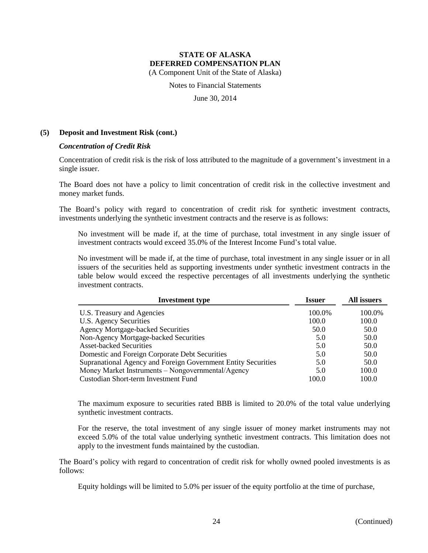Notes to Financial Statements

June 30, 2014

#### **(5) Deposit and Investment Risk (cont.)**

#### *Concentration of Credit Risk*

Concentration of credit risk is the risk of loss attributed to the magnitude of a government's investment in a single issuer.

The Board does not have a policy to limit concentration of credit risk in the collective investment and money market funds.

The Board's policy with regard to concentration of credit risk for synthetic investment contracts, investments underlying the synthetic investment contracts and the reserve is as follows:

No investment will be made if, at the time of purchase, total investment in any single issuer of investment contracts would exceed 35.0% of the Interest Income Fund's total value.

No investment will be made if, at the time of purchase, total investment in any single issuer or in all issuers of the securities held as supporting investments under synthetic investment contracts in the table below would exceed the respective percentages of all investments underlying the synthetic investment contracts.

| <b>Investment</b> type                                        | <b>Issuer</b> | All issuers |
|---------------------------------------------------------------|---------------|-------------|
| U.S. Treasury and Agencies                                    | 100.0%        | 100.0%      |
| U.S. Agency Securities                                        | 100.0         | 100.0       |
| <b>Agency Mortgage-backed Securities</b>                      | 50.0          | 50.0        |
| Non-Agency Mortgage-backed Securities                         | 5.0           | 50.0        |
| <b>Asset-backed Securities</b>                                | 5.0           | 50.0        |
| Domestic and Foreign Corporate Debt Securities                | 5.0           | 50.0        |
| Supranational Agency and Foreign Government Entity Securities | 5.0           | 50.0        |
| Money Market Instruments - Nongovernmental/Agency             | 5.0           | 100.0       |
| Custodian Short-term Investment Fund                          | 100.0         | 100.0       |

The maximum exposure to securities rated BBB is limited to 20.0% of the total value underlying synthetic investment contracts.

For the reserve, the total investment of any single issuer of money market instruments may not exceed 5.0% of the total value underlying synthetic investment contracts. This limitation does not apply to the investment funds maintained by the custodian.

The Board's policy with regard to concentration of credit risk for wholly owned pooled investments is as follows:

Equity holdings will be limited to 5.0% per issuer of the equity portfolio at the time of purchase,